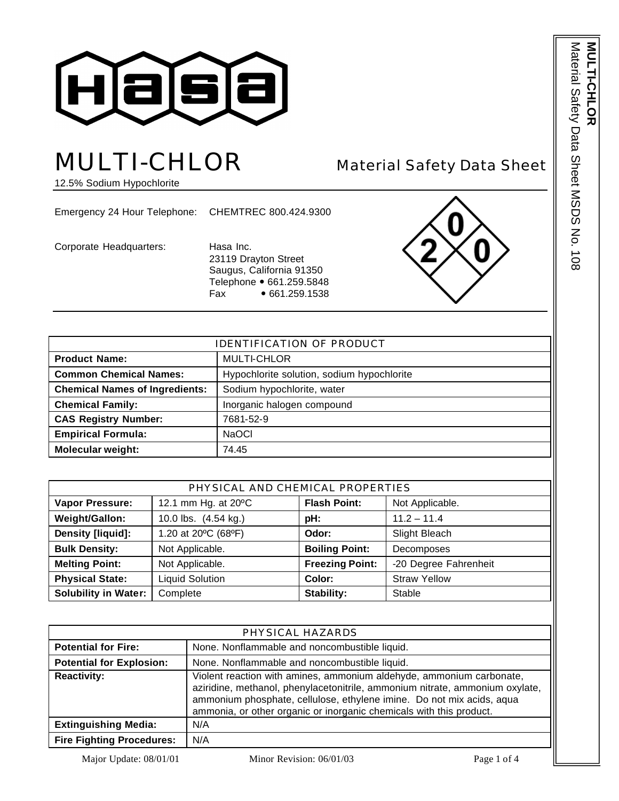

# MULTI-CHLOR Material Safety Data Sheet

12.5% Sodium Hypochlorite

Emergency 24 Hour Telephone: CHEMTREC 800.424.9300

Corporate Headquarters: Hasa Inc.

23119 Drayton Street Saugus, California 91350 Telephone • 661.259.5848 Fax • 661.259.1538



| <b>IDENTIFICATION OF PRODUCT</b>      |                                            |  |
|---------------------------------------|--------------------------------------------|--|
| <b>Product Name:</b>                  | <b>MULTI-CHLOR</b>                         |  |
| <b>Common Chemical Names:</b>         | Hypochlorite solution, sodium hypochlorite |  |
| <b>Chemical Names of Ingredients:</b> | Sodium hypochlorite, water                 |  |
| <b>Chemical Family:</b>               | Inorganic halogen compound                 |  |
| <b>CAS Registry Number:</b>           | 7681-52-9                                  |  |
| <b>Empirical Formula:</b>             | <b>NaOCI</b>                               |  |
| <b>Molecular weight:</b>              | 74.45                                      |  |

| PHYSICAL AND CHEMICAL PROPERTIES |                        |                        |                       |
|----------------------------------|------------------------|------------------------|-----------------------|
| <b>Vapor Pressure:</b>           | 12.1 mm Hg. at 20°C    | <b>Flash Point:</b>    | Not Applicable.       |
| Weight/Gallon:                   | 10.0 lbs. (4.54 kg.)   | pH:                    | $11.2 - 11.4$         |
| Density [liquid]:                | 1.20 at 20°C (68°F)    | Odor:                  | Slight Bleach         |
| <b>Bulk Density:</b>             | Not Applicable.        | <b>Boiling Point:</b>  | Decomposes            |
| <b>Melting Point:</b>            | Not Applicable.        | <b>Freezing Point:</b> | -20 Degree Fahrenheit |
| <b>Physical State:</b>           | <b>Liquid Solution</b> | Color:                 | <b>Straw Yellow</b>   |
| <b>Solubility in Water:</b>      | Complete               | <b>Stability:</b>      | Stable                |

| PHYSICAL HAZARDS                 |                                                                                                                                                                                                                                                                                                      |  |
|----------------------------------|------------------------------------------------------------------------------------------------------------------------------------------------------------------------------------------------------------------------------------------------------------------------------------------------------|--|
| <b>Potential for Fire:</b>       | None. Nonflammable and noncombustible liquid.                                                                                                                                                                                                                                                        |  |
| <b>Potential for Explosion:</b>  | None. Nonflammable and noncombustible liquid.                                                                                                                                                                                                                                                        |  |
| <b>Reactivity:</b>               | Violent reaction with amines, ammonium aldehyde, ammonium carbonate,<br>aziridine, methanol, phenylacetonitrile, ammonium nitrate, ammonium oxylate,<br>ammonium phosphate, cellulose, ethylene imine. Do not mix acids, aqua<br>ammonia, or other organic or inorganic chemicals with this product. |  |
| <b>Extinguishing Media:</b>      | N/A                                                                                                                                                                                                                                                                                                  |  |
| <b>Fire Fighting Procedures:</b> | N/A                                                                                                                                                                                                                                                                                                  |  |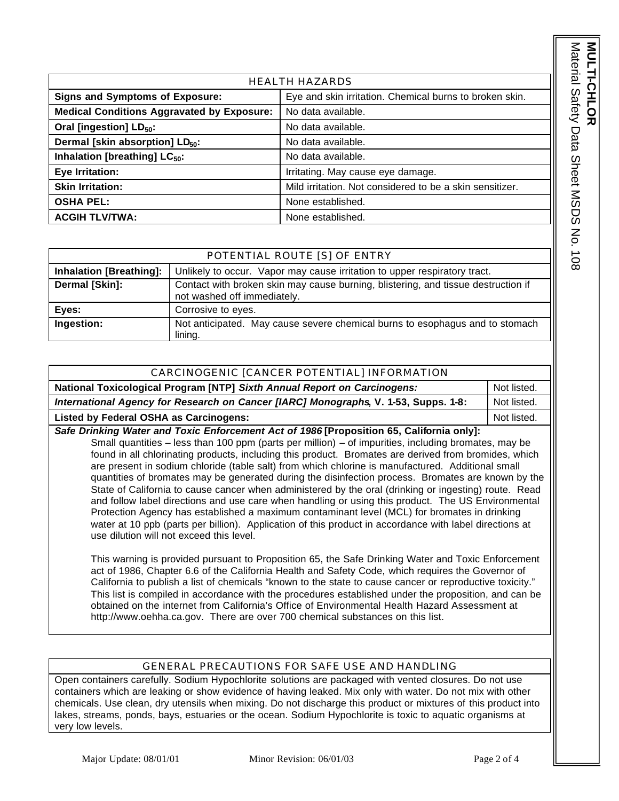Material Safety Data Sheet MSDS No. 108 Material Safety Data Sheet MSDS No. 108 **MULTI-CHL MULTI-CHLOR** 

| <b>HEALTH HAZARDS</b>                             |                                                          |  |
|---------------------------------------------------|----------------------------------------------------------|--|
| <b>Signs and Symptoms of Exposure:</b>            | Eye and skin irritation. Chemical burns to broken skin.  |  |
| <b>Medical Conditions Aggravated by Exposure:</b> | No data available.                                       |  |
| Oral [ingestion] LD <sub>50</sub> :               | No data available.                                       |  |
| Dermal [skin absorption] LD <sub>50</sub> :       | No data available.                                       |  |
| Inhalation [breathing] LC <sub>50</sub> :         | No data available.                                       |  |
| Eye Irritation:                                   | Irritating. May cause eye damage.                        |  |
| <b>Skin Irritation:</b>                           | Mild irritation. Not considered to be a skin sensitizer. |  |
| <b>OSHA PEL:</b>                                  | None established.                                        |  |
| <b>ACGIH TLV/TWA:</b>                             | None established.                                        |  |

|                                | POTENTIAL ROUTE [S] OF ENTRY                                                                                     |
|--------------------------------|------------------------------------------------------------------------------------------------------------------|
| <b>Inhalation [Breathing]:</b> | Unlikely to occur. Vapor may cause irritation to upper respiratory tract.                                        |
| Dermal [Skin]:                 | Contact with broken skin may cause burning, blistering, and tissue destruction if<br>not washed off immediately. |
| Eyes:                          | Corrosive to eyes.                                                                                               |
| Ingestion:                     | Not anticipated. May cause severe chemical burns to esophagus and to stomach<br>lining.                          |

| CARCINOGENIC [CANCER POTENTIAL] INFORMATION                                             |             |  |
|-----------------------------------------------------------------------------------------|-------------|--|
| National Toxicological Program [NTP] Sixth Annual Report on Carcinogens:<br>Not listed. |             |  |
| International Agency for Research on Cancer [IARC] Monographs, V. 1-53, Supps. 1-8:     |             |  |
| Listed by Federal OSHA as Carcinogens:                                                  | Not listed. |  |
| Cafe Drinking Water and Toxie Enforcement Ast of 1006 [Drepection CE, Colifornia only]  |             |  |

*Safe Drinking Water and Toxic Enforcement Act of 1986* **[Proposition 65, California only]:** Small quantities – less than 100 ppm (parts per million) – of impurities, including bromates, may be found in all chlorinating products, including this product. Bromates are derived from bromides, which are present in sodium chloride (table salt) from which chlorine is manufactured. Additional small quantities of bromates may be generated during the disinfection process. Bromates are known by the State of California to cause cancer when administered by the oral (drinking or ingesting) route. Read and follow label directions and use care when handling or using this product. The US Environmental Protection Agency has established a maximum contaminant level (MCL) for bromates in drinking water at 10 ppb (parts per billion). Application of this product in accordance with label directions at use dilution will not exceed this level.

This warning is provided pursuant to Proposition 65, the Safe Drinking Water and Toxic Enforcement act of 1986, Chapter 6.6 of the California Health and Safety Code, which requires the Governor of California to publish a list of chemicals "known to the state to cause cancer or reproductive toxicity." This list is compiled in accordance with the procedures established under the proposition, and can be obtained on the internet from California's Office of Environmental Health Hazard Assessment at http://www.oehha.ca.gov. There are over 700 chemical substances on this list.

## GENERAL PRECAUTIONS FOR SAFE USE AND HANDLING

Open containers carefully. Sodium Hypochlorite solutions are packaged with vented closures. Do not use containers which are leaking or show evidence of having leaked. Mix only with water. Do not mix with other chemicals. Use clean, dry utensils when mixing. Do not discharge this product or mixtures of this product into lakes, streams, ponds, bays, estuaries or the ocean. Sodium Hypochlorite is toxic to aquatic organisms at very low levels.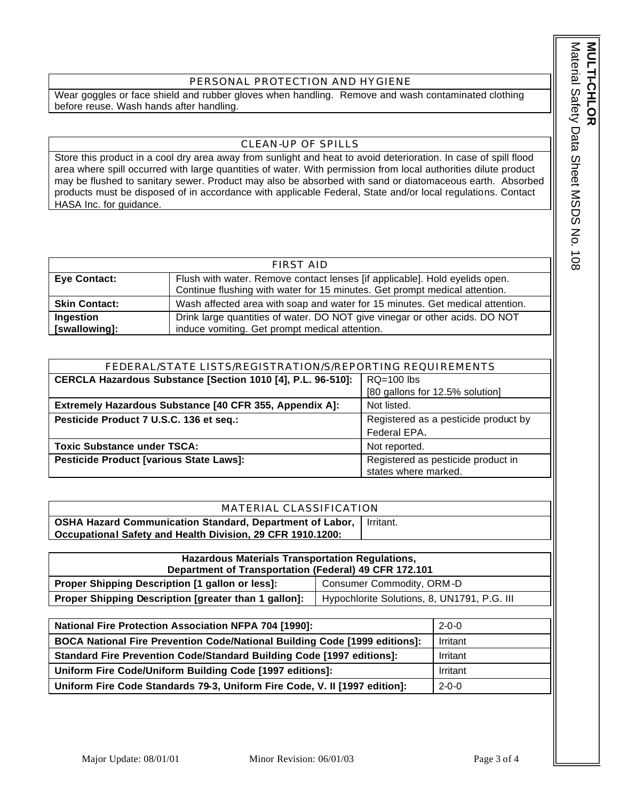### PERSONAL PROTECTION AND HYGIENE

Wear goggles or face shield and rubber gloves when handling. Remove and wash contaminated clothing before reuse. Wash hands after handling.

### CLEAN-UP OF SPILLS

Store this product in a cool dry area away from sunlight and heat to avoid deterioration. In case of spill flood area where spill occurred with large quantities of water. With permission from local authorities dilute product may be flushed to sanitary sewer. Product may also be absorbed with sand or diatomaceous earth. Absorbed products must be disposed of in accordance with applicable Federal, State and/or local regulations. Contact HASA Inc. for guidance.

| FIRST AID            |                                                                               |  |
|----------------------|-------------------------------------------------------------------------------|--|
| Eye Contact:         | Flush with water. Remove contact lenses [if applicable]. Hold eyelids open.   |  |
|                      | Continue flushing with water for 15 minutes. Get prompt medical attention.    |  |
| <b>Skin Contact:</b> | Wash affected area with soap and water for 15 minutes. Get medical attention. |  |
| Ingestion            | Drink large quantities of water. DO NOT give vinegar or other acids. DO NOT   |  |
| [swallowing]:        | induce vomiting. Get prompt medical attention.                                |  |

| FEDERAL/STATE LISTS/REGISTRATION/S/REPORTING REQUIREMENTS              |                                      |  |
|------------------------------------------------------------------------|--------------------------------------|--|
| CERCLA Hazardous Substance [Section 1010 [4], P.L. 96-510]:            | $RQ=100$ lbs                         |  |
|                                                                        | [80 gallons for 12.5% solution]      |  |
| Extremely Hazardous Substance [40 CFR 355, Appendix A]:<br>Not listed. |                                      |  |
| Pesticide Product 7 U.S.C. 136 et seq.:                                | Registered as a pesticide product by |  |
|                                                                        | Federal EPA.                         |  |
| <b>Toxic Substance under TSCA:</b>                                     | Not reported.                        |  |
| Pesticide Product [various State Laws]:                                | Registered as pesticide product in   |  |
|                                                                        | states where marked.                 |  |

#### MATERIAL CLASSIFICATION

**OSHA Hazard Communication Standard, Department of Labor, Occupational Safety and Health Division, 29 CFR 1910.1200:** Irritant.

| <b>Hazardous Materials Transportation Regulations,</b><br>Department of Transportation (Federal) 49 CFR 172.101 |                                             |  |
|-----------------------------------------------------------------------------------------------------------------|---------------------------------------------|--|
| Proper Shipping Description [1 gallon or less]:                                                                 | Consumer Commodity, ORM-D                   |  |
| Proper Shipping Description [greater than 1 gallon]:                                                            | Hypochlorite Solutions, 8, UN1791, P.G. III |  |

| <b>National Fire Protection Association NFPA 704 [1990]:</b>                 | $2 - 0 - 0$ |
|------------------------------------------------------------------------------|-------------|
| BOCA National Fire Prevention Code/National Building Code [1999 editions]:   | Irritant    |
| <b>Standard Fire Prevention Code/Standard Building Code [1997 editions]:</b> | Irritant    |
| Uniform Fire Code/Uniform Building Code [1997 editions]:                     | Irritant    |
| Uniform Fire Code Standards 79-3, Uniform Fire Code, V. II [1997 edition]:   | $2 - 0 - 0$ |